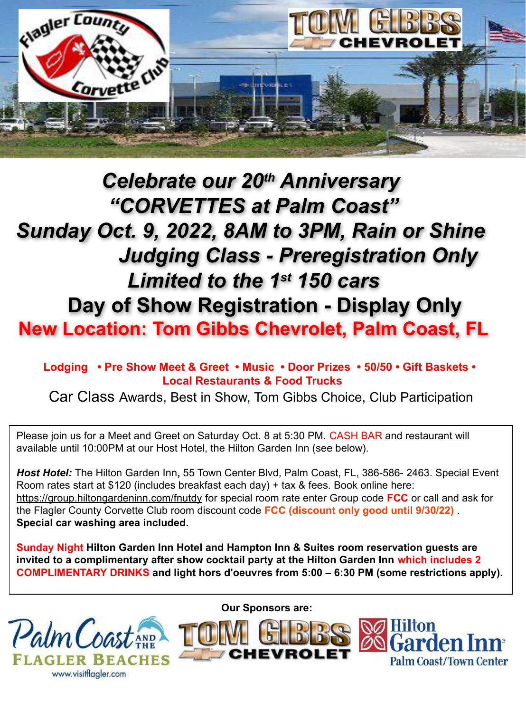

## *Celebrate our 20th Anniversary "CORVETTES at Palm Coast" Sunday Oct. 9, 2022, 8AM to 3PM, Rain or Shine Judging Class - Preregistration Only Limited to the 1st 150 cars*  **Day of Show Registration - Display Only New Location: Tom Gibbs Chevrolet, Palm Coast, FL**

 **Lodging • Pre Show Meet & Greet • Music • Door Prizes • 50/50 • Gift Baskets • Local Restaurants & Food Trucks**

Car Class Awards, Best in Show, Tom Gibbs Choice, Club Participation

Please join us for a Meet and Greet on Saturday Oct. 8 at 5:30 PM. CASH BAR and restaurant will available until 10:00PM at our Host Hotel, the Hilton Garden Inn (see below).

*Host Hotel:* The Hilton Garden Inn**,** 55 Town Center Blvd, Palm Coast, FL, 386-586- 2463. Special Event Room rates start at \$120 (includes breakfast each day) + tax & fees. Book online here: <https://group.hiltongardeninn.com/fnutdy> for special room rate enter Group code **FCC** or call and ask for the Flagler County Corvette Club room discount code **FCC (discount only good until 9/30/22)** . **Special car washing area included.**

**Sunday Night Hilton Garden Inn Hotel and Hampton Inn & Suites room reservation guests are invited to a complimentary after show cocktail party at the Hilton Garden Inn which includes 2 COMPLIMENTARY DRINKS and light hors d'oeuvres from 5:00 – 6:30 PM (some restrictions apply).**



**Our Sponsors are:**